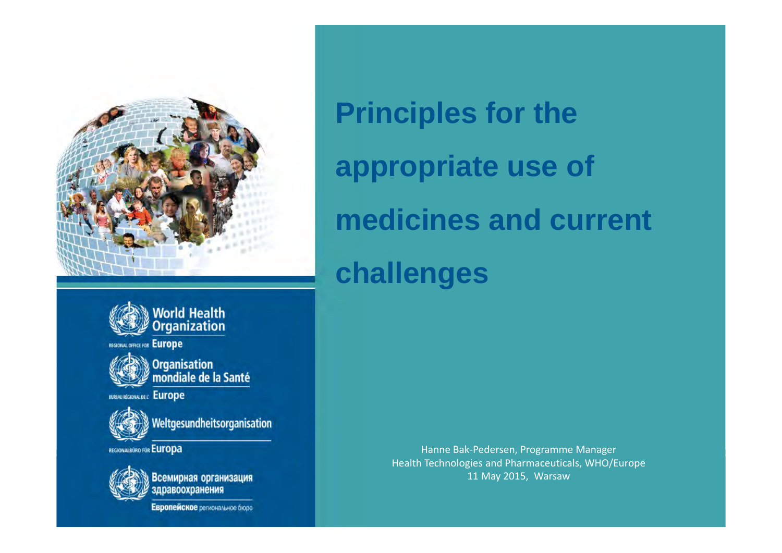



REGIONAL OFFICE FOR Europe



, Organisation<br>/ mondiale de la Santé

**BURAU REGIONAL DE L'EUFOPE** 

Weltgesundheitsorganisation

REGIONALBURO FOR Europa



Всемирная организация<br>здравоохранения

Европейское региональное бюро

**Principles for the appropriate use of medicines and current challenges** 

> Health Technologies and Pharmaceutical (HTP), DSP, WHO Europe May 2015 11 May 2015, WarsawHanne Bak‐Pedersen, Programme Manager Health Technologies and Pharmaceuticals, WHO/Europe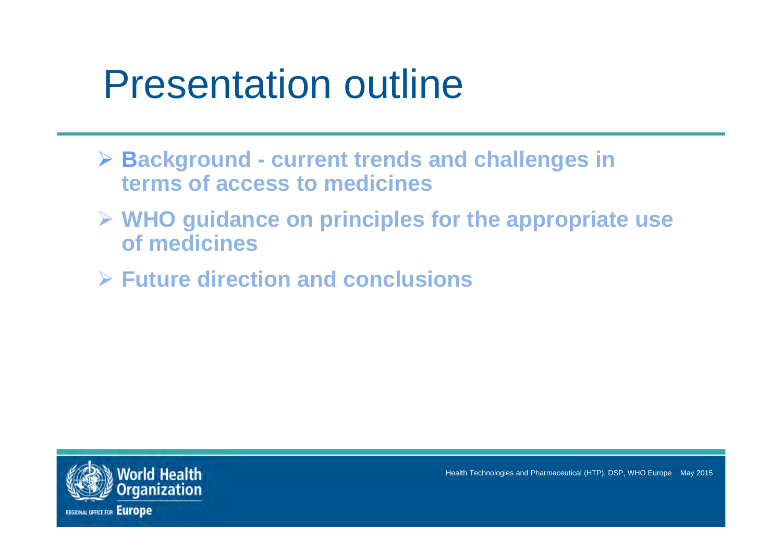# Presentation outline

- **Background - current trends and challenges in terms of access to medicines**
- **WHO guidance on principles for the appropriate use of medicines**
- **Future direction and conclusions**

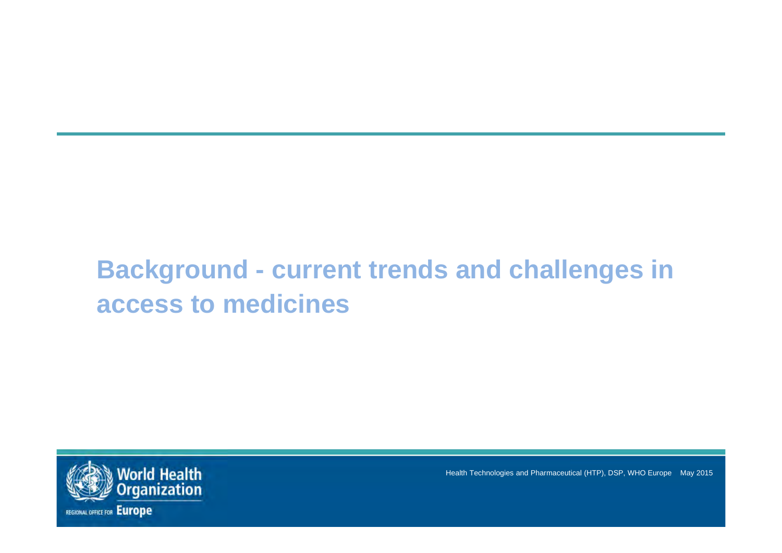## **Background - current trends and challenges in access to medicines**

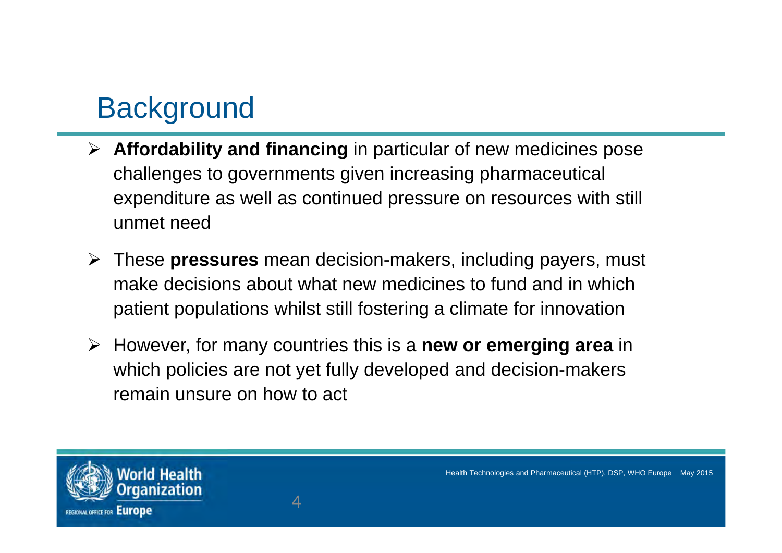# **Background**

- **Affordability and financing** in particular of new medicines pose challenges to governments given increasing pharmaceutical expenditure as well as continued pressure on resources with still unmet need
- These **pressures** mean decision-makers, including payers, must make decisions about what new medicines to fund and in which patient populations whilst still fostering a climate for innovation
- However, for many countries this is a **new or emerging area** in which policies are not yet fully developed and decision-makers remain unsure on how to act

4

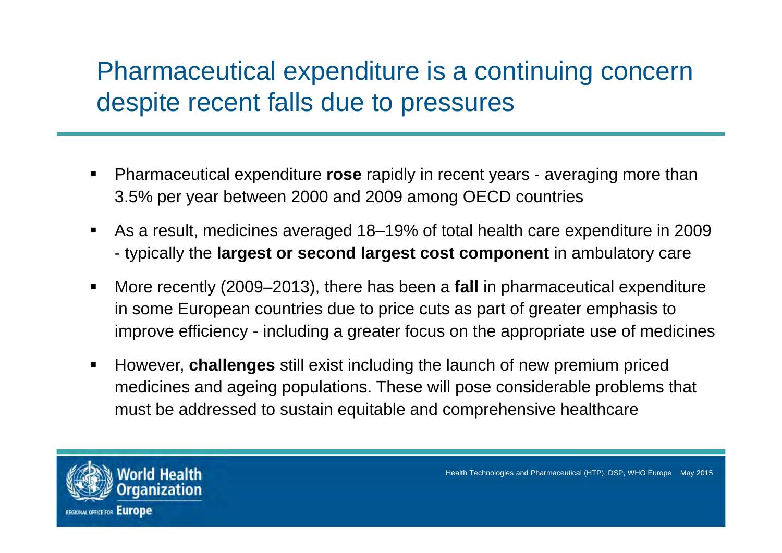#### Pharmaceutical expenditure is a continuing concern despite recent falls due to pressures

- Pharmaceutical expenditure **rose** rapidly in recent years - averaging more than 3.5% per year between 2000 and 2009 among OECD countries
- $\blacksquare$  As a result, medicines averaged 18–19% of total health care expenditure in 2009 - typically the **largest or second largest cost component** in ambulatory care
- $\blacksquare$  More recently (2009–2013), there has been a **fall** in pharmaceutical expenditure in some European countries due to price cuts as part of greater emphasis to improve efficiency - including a greater focus on the appropriate use of medicines
- However, **challenges** still exist including the launch of new premium priced medicines and ageing populations. These will pose considerable problems that must be addressed to sustain equitable and comprehensive healthcare

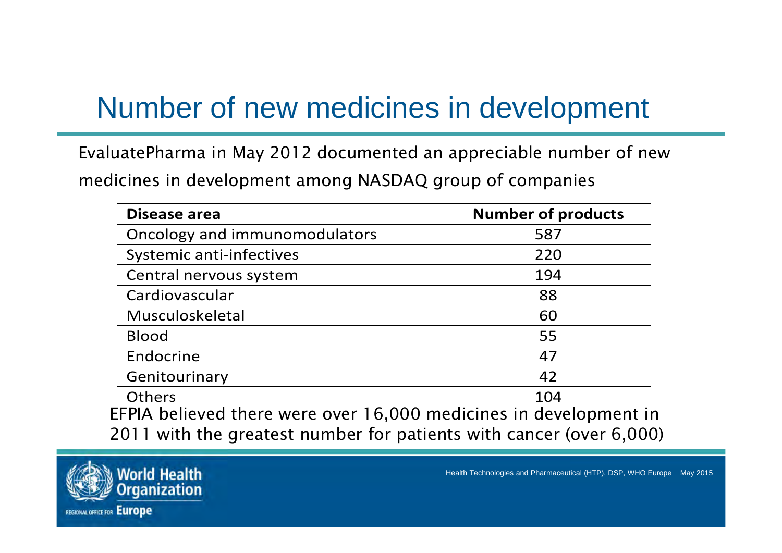# Number of new medicines in development

EvaluatePharma in May 2012 documented an appreciable number of new medicines in development among NASDAQ group of companies

| Disease area                                                        | <b>Number of products</b> |
|---------------------------------------------------------------------|---------------------------|
| Oncology and immunomodulators                                       | 587                       |
| Systemic anti-infectives                                            | 220                       |
| Central nervous system                                              | 194                       |
| Cardiovascular                                                      | 88                        |
| Musculoskeletal                                                     | 60                        |
| <b>Blood</b>                                                        | 55                        |
| Endocrine                                                           | 47                        |
| Genitourinary                                                       | 42                        |
| <b>Others</b>                                                       | 104                       |
| EFPIA believed there were over 16,000 medicines in development in   |                           |
| 2011 with the greatest number for patients with cancer (over 6,000) |                           |

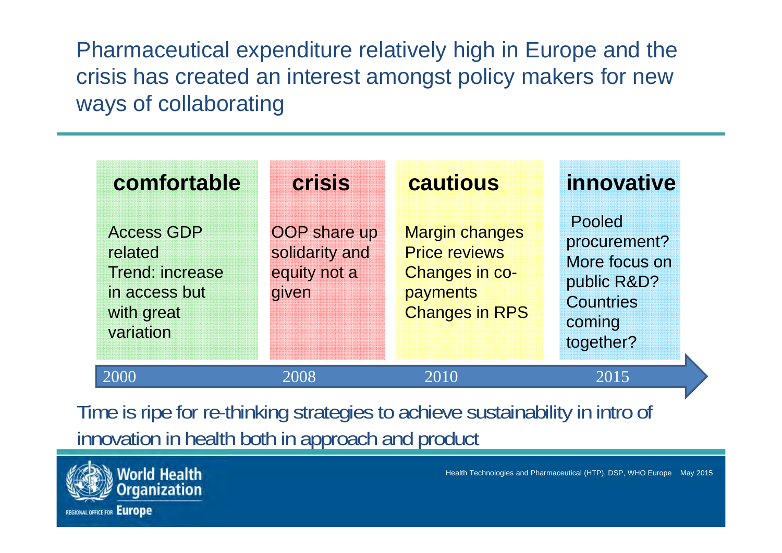Pharmaceutical expenditure relatively high in Europe and the crisis has created an interest amongst policy makers for new ways of collaborating

| comfortable                                                                                        | <b>crisis</b>                                                  | cautious                                                                                                    | innovative                                                                                        |
|----------------------------------------------------------------------------------------------------|----------------------------------------------------------------|-------------------------------------------------------------------------------------------------------------|---------------------------------------------------------------------------------------------------|
| <b>Access GDP</b><br>related<br><b>Trend: increase</b><br>in access but<br>with great<br>variation | <b>OOP</b> share up<br>solidarity and<br>equity not a<br>given | <b>Margin changes</b><br><b>Price reviews</b><br><b>Changes in co-</b><br>payments<br><b>Changes in RPS</b> | Pooled<br>procurement?<br>More focus on<br>public R&D?<br><b>Countries</b><br>coming<br>together? |
| 2000                                                                                               | 2008                                                           | 2010                                                                                                        | 2015                                                                                              |

Time is ripe for re-thinking strategies to achieve sustainability in intro of innovation in health both in approach and product

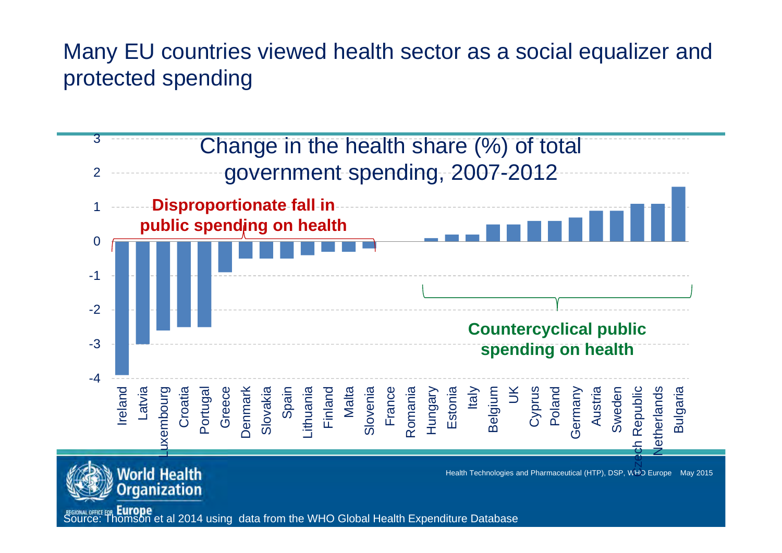#### Many EU countries viewed health sector as a social equalizer and protected spending

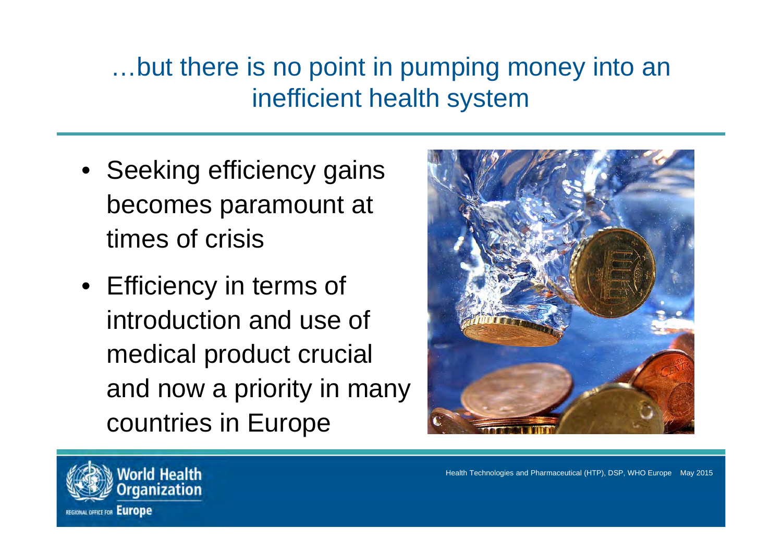## …but there is no point in pumping money into an inefficient health system

- Seeking efficiency gains becomes paramount at times of crisis
- Efficiency in terms of introduction and use of medical product crucial and now a priority in many countries in Europe



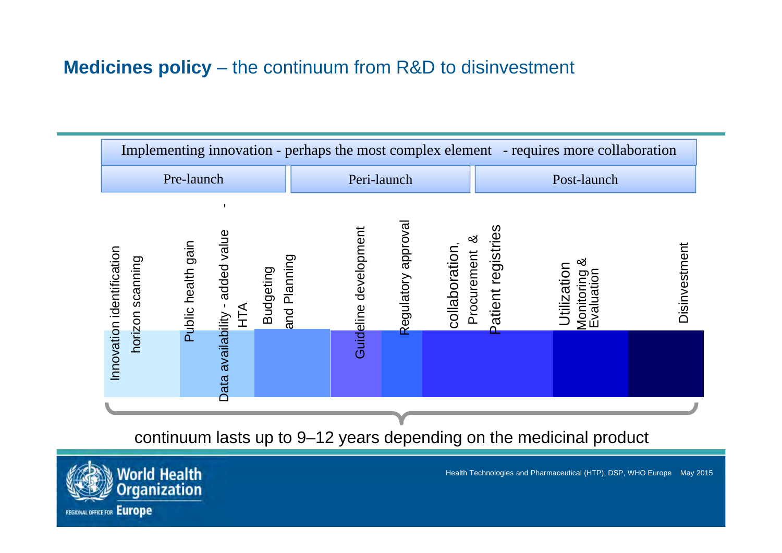#### **Medicines policy** – the continuum from R&D to disinvestment

| Implementing innovation - perhaps the most complex element - requires more collaboration                                                          |                                                                                                   |                                                                                            |  |  |
|---------------------------------------------------------------------------------------------------------------------------------------------------|---------------------------------------------------------------------------------------------------|--------------------------------------------------------------------------------------------|--|--|
| Pre-launch                                                                                                                                        | Peri-launch                                                                                       | Post-launch                                                                                |  |  |
| added value<br>Public health gain<br>Innovation identification<br>horizon scanning<br><b>Budgeting</b><br>Data availability -<br>$\sum_{i=1}^{n}$ | Regulatory approval<br>Guideline development<br>య<br>collaboration<br>Procurement<br>and Planning | <b>Patient registries</b><br>Disinvestment<br>య<br>Utilization<br>Monitoring<br>Evaluation |  |  |
|                                                                                                                                                   |                                                                                                   |                                                                                            |  |  |

continuum lasts up to 9–12 years depending on the medicinal product

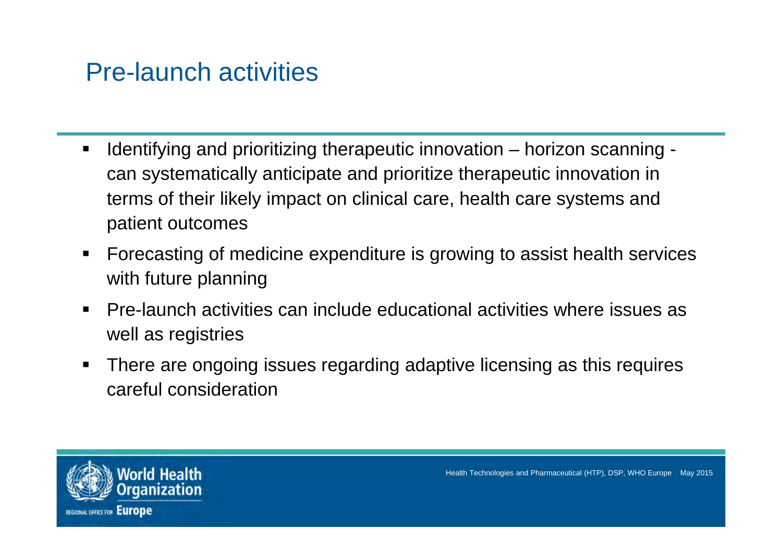#### Pre-launch activities

- ٠ Identifying and prioritizing therapeutic innovation – horizon scanning can systematically anticipate and prioritize therapeutic innovation in terms of their likely impact on clinical care, health care systems and patient outcomes
- Ξ Forecasting of medicine expenditure is growing to assist health services with future planning
- ٠ Pre-launch activities can include educational activities where issues as well as registries
- Ξ There are ongoing issues regarding adaptive licensing as this requires careful consideration

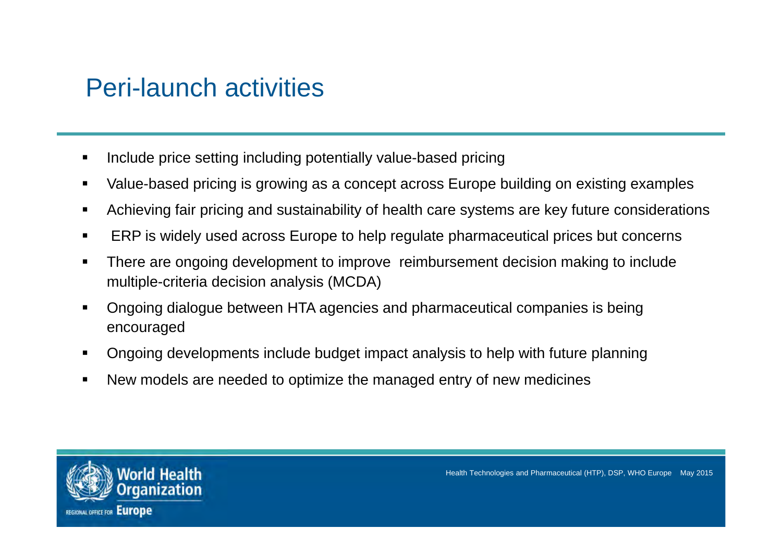#### Peri-launch activities

- Include price setting including potentially value-based pricing
- $\blacksquare$ Value-based pricing is growing as a concept across Europe building on existing examples
- Achieving fair pricing and sustainability of health care systems are key future considerations
- ERP is widely used across Europe to help regulate pharmaceutical prices but concerns
- Ħ There are ongoing development to improve reimbursement decision making to include multiple-criteria decision analysis (MCDA)
- Ongoing dialogue between HTA agencies and pharmaceutical companies is being encouraged
- Ongoing developments include budget impact analysis to help with future planning
- New models are needed to optimize the managed entry of new medicines

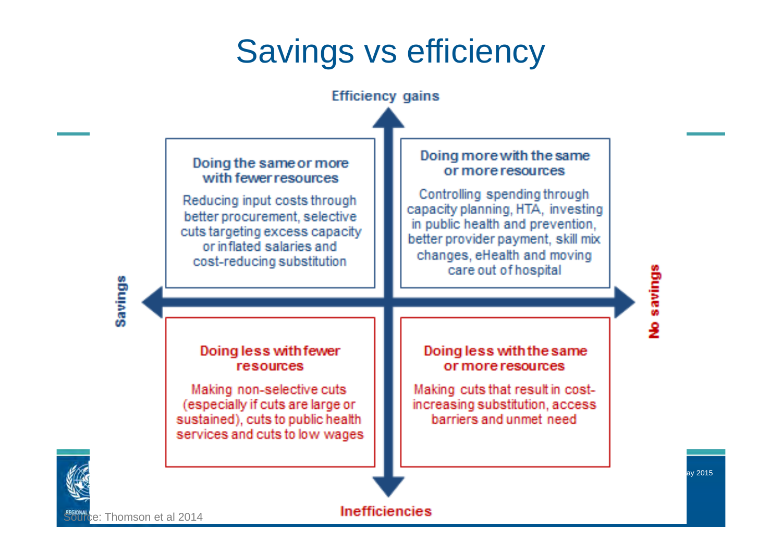# Savings vs efficiency



enives ov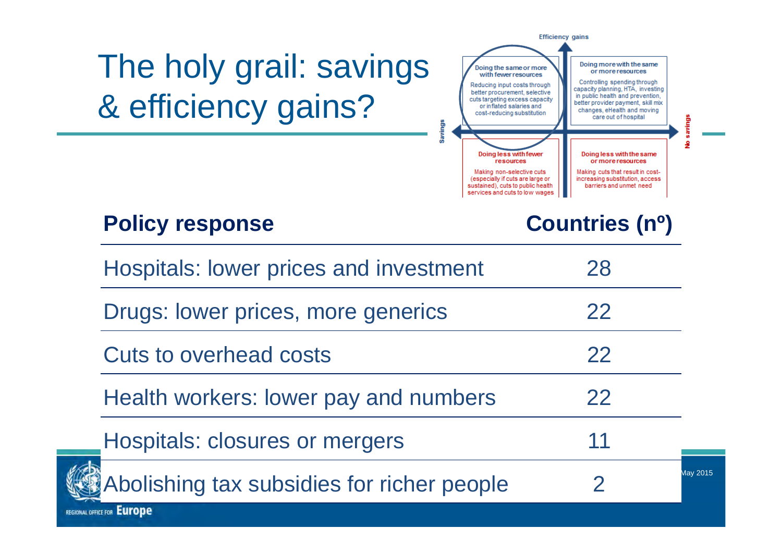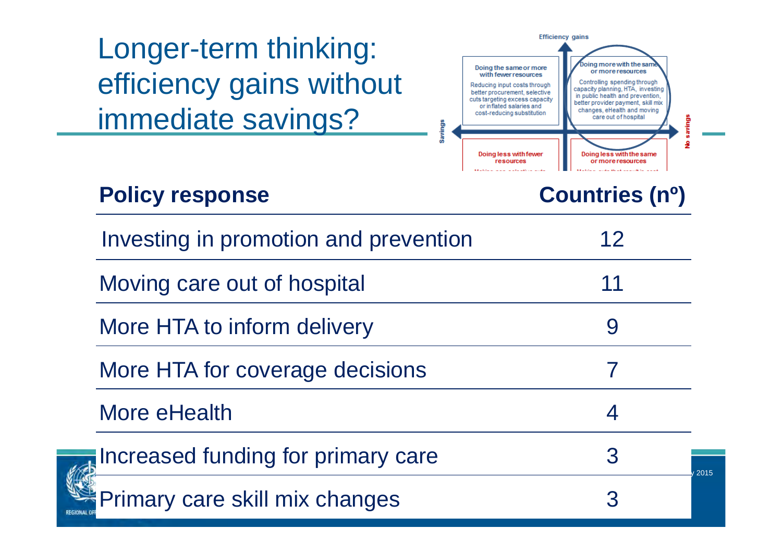Longer-term thinking: efficiency gains without immediate savings?



#### **Policy response Countries (nº)**

**REGIONAL O** 

| Investing in promotion and prevention | 12        |
|---------------------------------------|-----------|
| Moving care out of hospital           | 11        |
| More HTA to inform delivery           |           |
| More HTA for coverage decisions       |           |
| More eHealth                          |           |
| Increased funding for primary care    | 3<br>2015 |

Primary care skill mix changes 3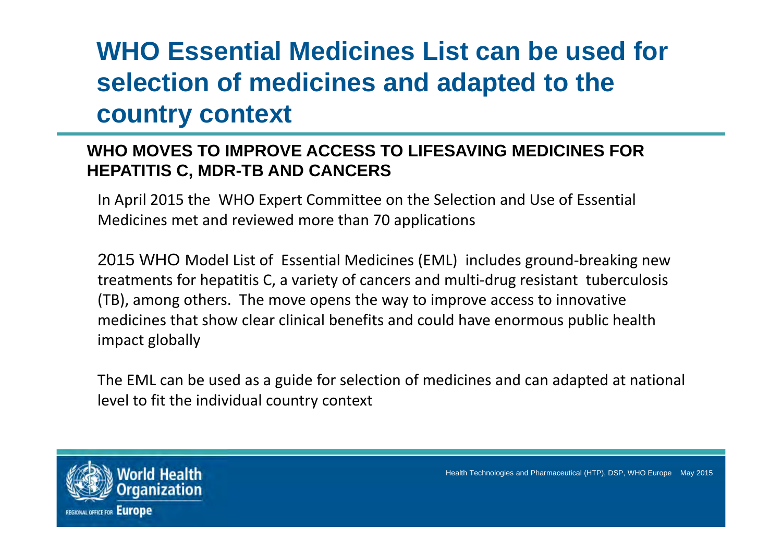# **WHO Essential Medicines List can be used for selection of medicines and adapted to the country context**

#### **WHO MOVES TO IMPROVE ACCESS TO LIFESAVING MEDICINES FOR HEPATITIS C, MDR-TB AND CANCERS**

In April 2015 the WHO Expert Committee on the Selection and Use of Essential Medicines met and reviewed more than 70 applications

2015 WHO Model List of Essential Medicines (EML) includes ground‐breaking new treatments for hepatitis C, <sup>a</sup> variety of cancers and multi‐drug resistant tuberculosis (TB), among others. The move opens the way to improve access to innovative medicines that show clear clinical benefits and could have enormous public health impact globally

The EML can be used as <sup>a</sup> guide for selection of medicines and can adapted at national level to fit the individual country context

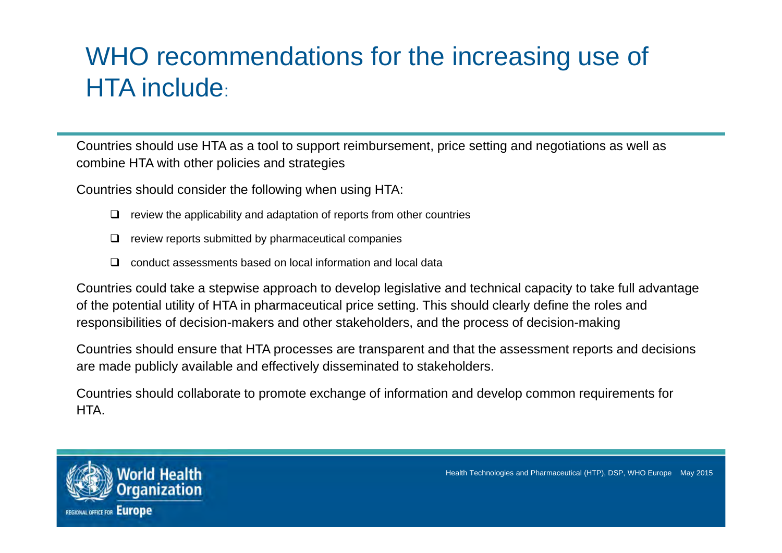## WHO recommendations for the increasing use of HTA include:

Countries should use HTA as a tool to support reimbursement, price setting and negotiations as well as combine HTA with other policies and strategies

Countries should consider the following when using HTA:

- $\Box$ review the applicability and adaptation of reports from other countries
- ❏ review reports submitted by pharmaceutical companies
- $\Box$ conduct assessments based on local information and local data

Countries could take a stepwise approach to develop legislative and technical capacity to take full advantage of the potential utility of HTA in pharmaceutical price setting. This should clearly define the roles and responsibilities of decision-makers and other stakeholders, and the process of decision-making

Countries should ensure that HTA processes are transparent and that the assessment reports and decisions are made publicly available and effectively disseminated to stakeholders.

Countries should collaborate to promote exchange of information and develop common requirements for HTA.

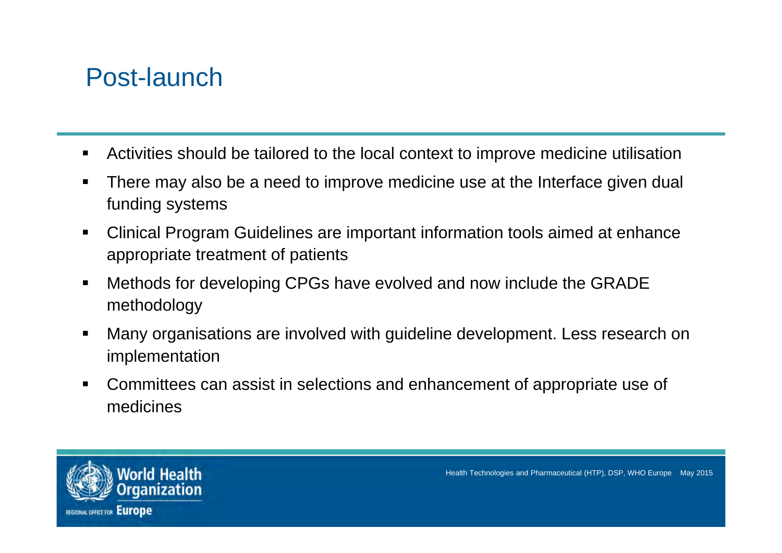#### Post-launch

- $\blacksquare$ Activities should be tailored to the local context to improve medicine utilisation
- There may also be a need to improve medicine use at the Interface given dual funding systems
- Clinical Program Guidelines are important information tools aimed at enhance appropriate treatment of patients
- $\blacksquare$  Methods for developing CPGs have evolved and now include the GRADE methodology
- Many organisations are involved with guideline development. Less research on implementation
- Committees can assist in selections and enhancement of appropriate use of medicines

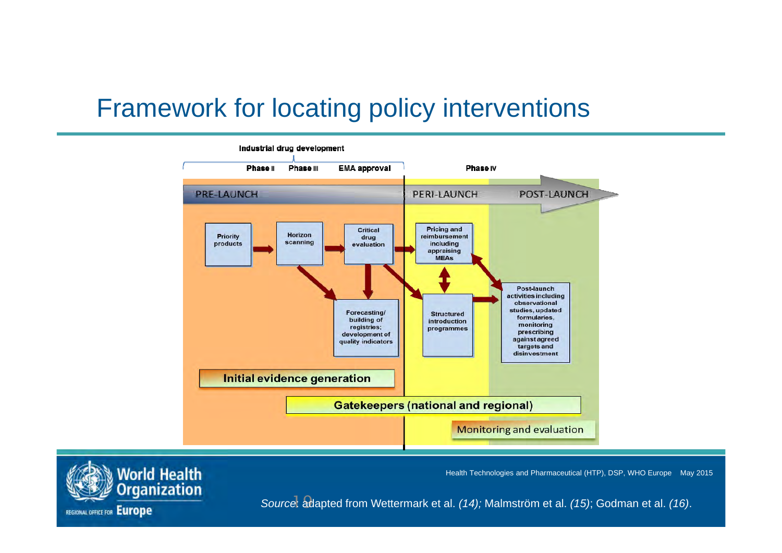#### Framework for locating policy interventions



Health Technologies and Pharmaceutical (HTP), DSP, WHO Europe May 2015



19 *Source*: adapted from Wettermark et al. *(14);* Malmström et al. *(15)*; Godman et al. *(16)*.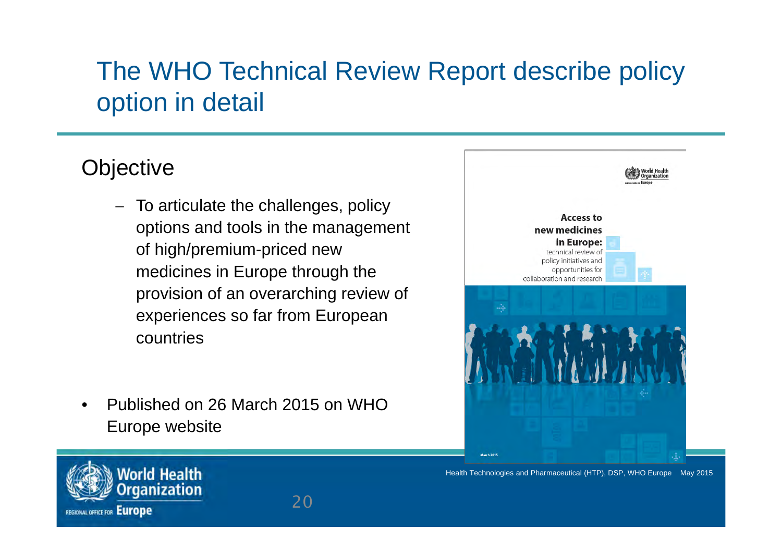## The WHO Technical Review Report describe policy option in detail

#### **Objective**

- To articulate the challenges, policy options and tools in the management of high/premium-priced new medicines in Europe through the provision of an overarching review of experiences so far from European countries
- • Published on 26 March 2015 on WHO Europe website





Health Technologies and Pharmaceutical (HTP), DSP, WHO Europe May 2015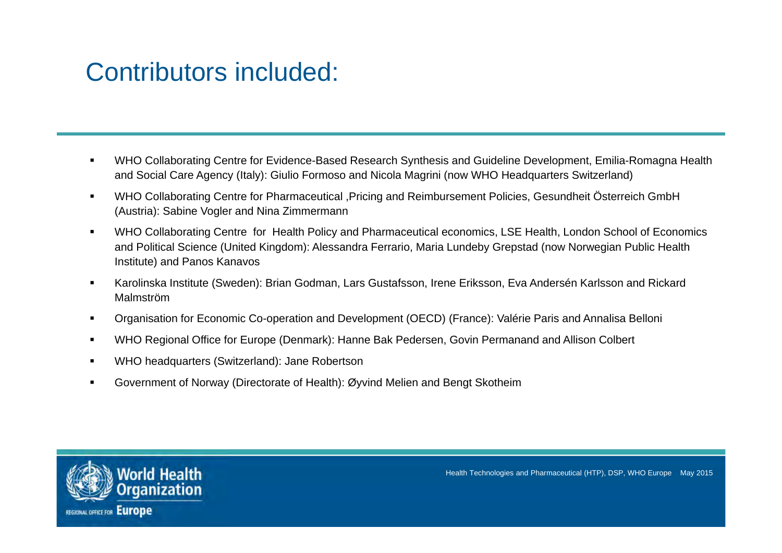#### Contributors included:

- $\blacksquare$  WHO Collaborating Centre for Evidence-Based Research Synthesis and Guideline Development, Emilia-Romagna Health and Social Care Agency (Italy): Giulio Formoso and Nicola Magrini (now WHO Headquarters Switzerland)
- $\blacksquare$  WHO Collaborating Centre for Pharmaceutical ,Pricing and Reimbursement Policies, Gesundheit Österreich GmbH (Austria): Sabine Vogler and Nina Zimmermann
- $\blacksquare$  WHO Collaborating Centre for Health Policy and Pharmaceutical economics, LSE Health, London School of Economics and Political Science (United Kingdom): Alessandra Ferrario, Maria Lundeby Grepstad (now Norwegian Public Health Institute) and Panos Kanavos
- $\blacksquare$  Karolinska Institute (Sweden): Brian Godman, Lars Gustafsson, Irene Eriksson, Eva Andersén Karlsson and Rickard Malmström
- $\blacksquare$ Organisation for Economic Co-operation and Development (OECD) (France): Valérie Paris and Annalisa Belloni
- $\blacksquare$ WHO Regional Office for Europe (Denmark): Hanne Bak Pedersen, Govin Permanand and Allison Colbert
- WHO headquarters (Switzerland): Jane Robertson
- $\blacksquare$ Government of Norway (Directorate of Health): Øyvind Melien and Bengt Skotheim

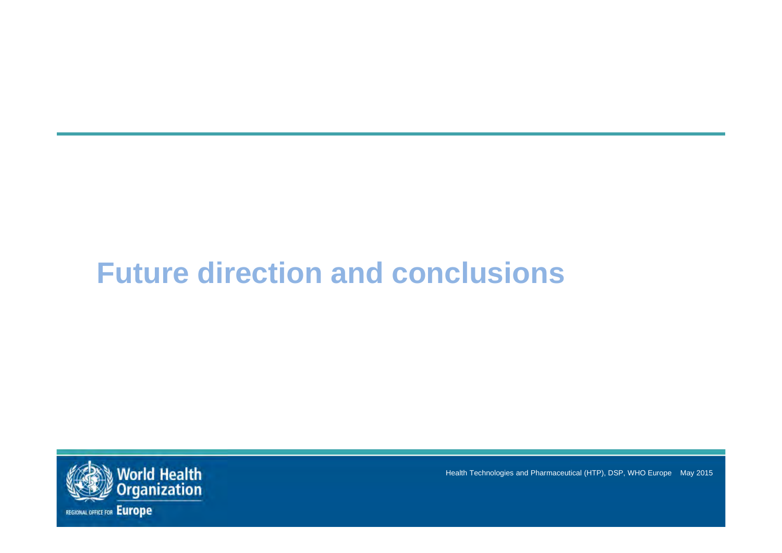# **Future direction and conclusions**

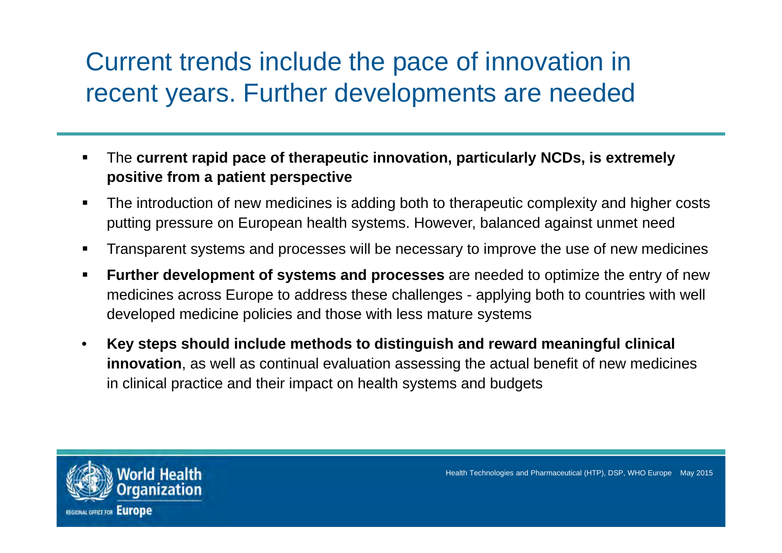### Current trends include the pace of innovation in recent years. Further developments are needed

- The **current rapid pace of therapeutic innovation, particularly NCDs, is extremely positive from a patient perspective**
- The introduction of new medicines is adding both to therapeutic complexity and higher costs putting pressure on European health systems. However, balanced against unmet need
- $\blacksquare$ Transparent systems and processes will be necessary to improve the use of new medicines
- $\blacksquare$  **Further development of systems and processes** are needed to optimize the entry of new medicines across Europe to address these challenges - applying both to countries with well developed medicine policies and those with less mature systems
- $\bullet$  **Key steps should include methods to distinguish and reward meaningful clinical innovation**, as well as continual evaluation assessing the actual benefit of new medicines in clinical practice and their impact on health systems and budgets

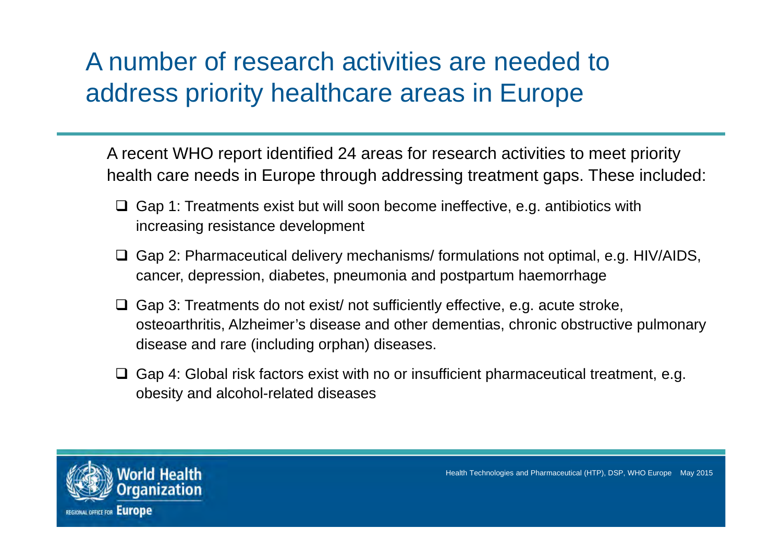### A number of research activities are needed to address priority healthcare areas in Europe

A recent WHO report identified 24 areas for research activities to meet priority health care needs in Europe through addressing treatment gaps. These included:

- $\Box$  Gap 1: Treatments exist but will soon become ineffective, e.g. antibiotics with increasing resistance development
- □ Gap 2: Pharmaceutical delivery mechanisms/ formulations not optimal, e.g. HIV/AIDS, cancer, depression, diabetes, pneumonia and postpartum haemorrhage
- $\Box$  Gap 3: Treatments do not exist/ not sufficiently effective, e.g. acute stroke, osteoarthritis, Alzheimer's disease and other dementias, chronic obstructive pulmonary disease and rare (including orphan) diseases.
- $\Box$  Gap 4: Global risk factors exist with no or insufficient pharmaceutical treatment, e.g. obesity and alcohol-related diseases

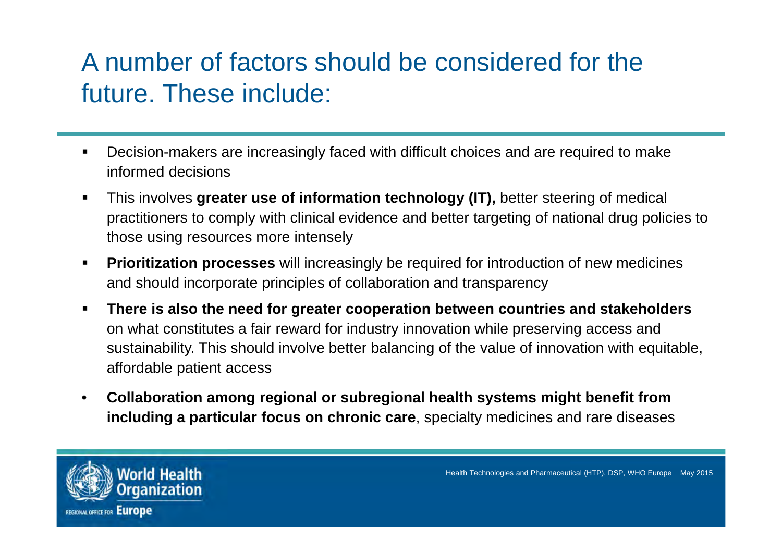## A number of factors should be considered for the future. These include:

- Decision-makers are increasingly faced with difficult choices and are required to make informed decisions
- $\blacksquare$  This involves **greater use of information technology (IT),** better steering of medical practitioners to comply with clinical evidence and better targeting of national drug policies to those using resources more intensely
- $\blacksquare$  **Prioritization processes** will increasingly be required for introduction of new medicines and should incorporate principles of collaboration and transparency
- $\blacksquare$  **There is also the need for greater cooperation between countries and stakeholders**  on what constitutes a fair reward for industry innovation while preserving access and sustainability. This should involve better balancing of the value of innovation with equitable, affordable patient access
- $\bullet$  **Collaboration among regional or subregional health systems might benefit from including a particular focus on chronic care**, specialty medicines and rare diseases

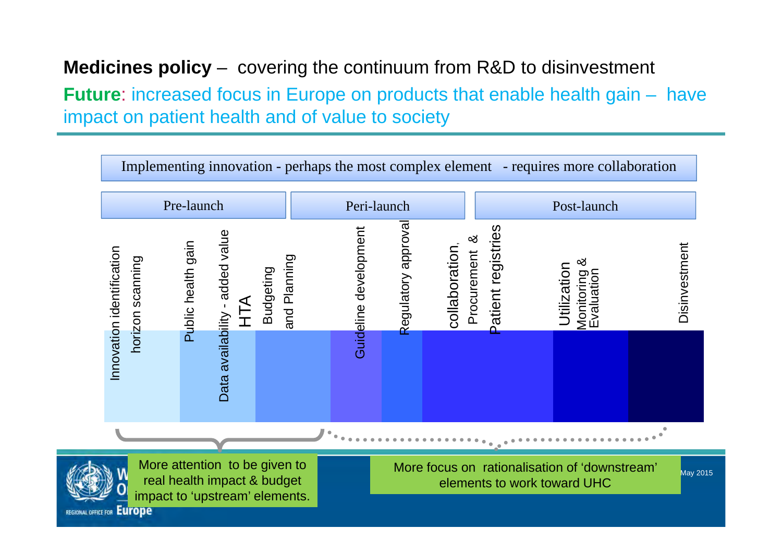#### **Medicines policy** – covering the continuum from R&D to disinvestment

**Future:** increased focus in Europe on products that enable health gain – have impact on patient health and of value to society